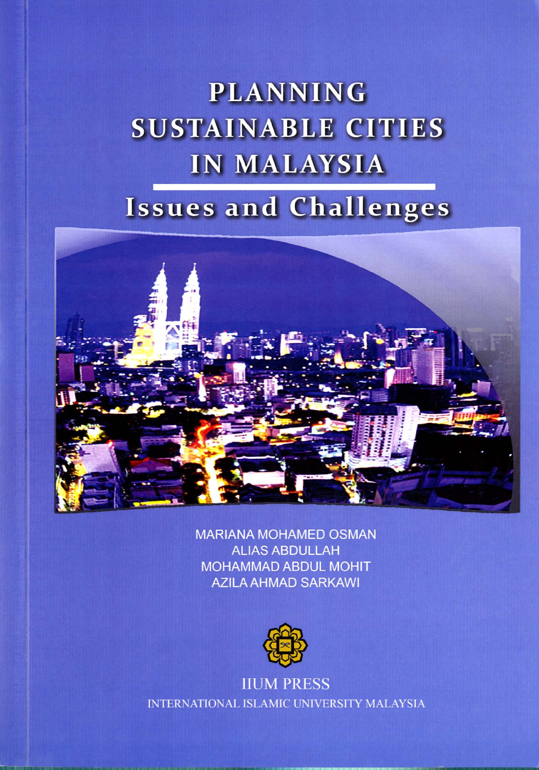# **PLANNING SUSTAINABLE CITIES IN MALAYSIA**

### **Issues and Challenges**



**MARIANA MOHAMED OSMAN ALIAS ABDULLAH MOHAMMAD ABDUL MOHIT AZILA AHMAD SARKAWI** 



**IIUM PRESS INTERNATIONAL ISLAMIC UNIVERSITY MALAYSIA**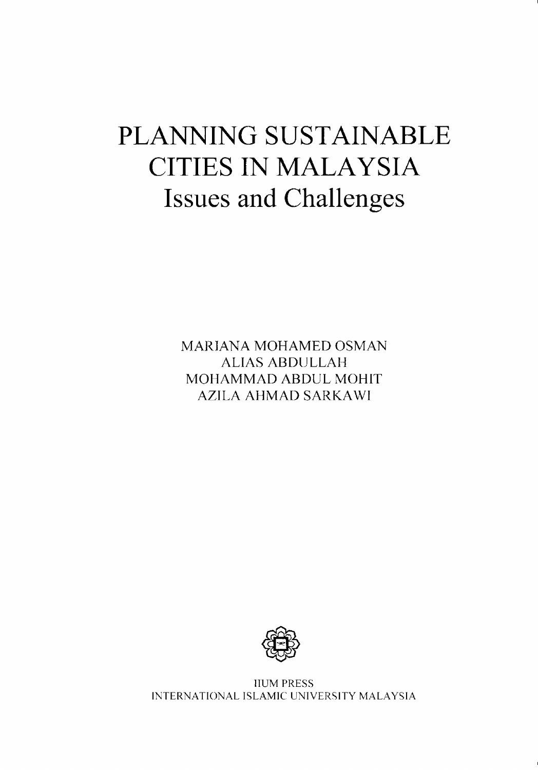## PLANNING SUSTAINABLE CITIES IN MALAYSIA **Issues and Challenges**

MARIANA MOHAMED OSMAN ALIAS ABDULLAH MOHAMMAD ABDUL MOHIT AZILA AHMAD SARKAWI



HUM PRESS INTERNATIONAL ISLAMIC UNIVERSITY MALAYSIA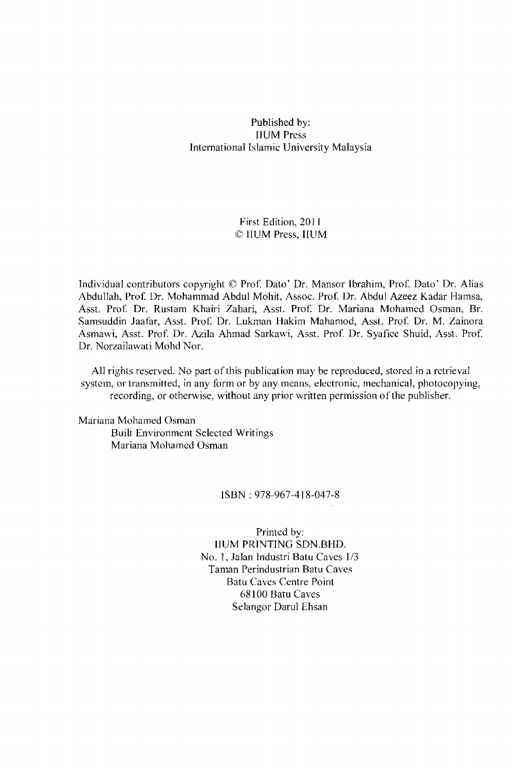#### Published by: IIUM Press International Islamic University Malaysia

#### First Edition, 2011 © IIUM Press, HUM

Individual contributors copyright © Prof. Dato' Dr. Mansor Ibrahim, Prof. Dato' Dr. Alias Abdullah, Prof. Dr. Mohammad Abdul Mohit, Assoc. Prof. Dr. Abdul Azeez Kadar Hamsa, Asst. Prof. Dr. Rustam Khairi Zahari, Asst. Prof. Dr. Mariana Mohamed Osman, Br. Samsuddin Jaafar, Asst. Prof. Dr. Lukman Hakim Mahamod, Asst. Prof. Dr. M. Zainora Asmawi, Asst. Prof. Dr. Azila Ahmad Sarkawi, Asst. Prof. Dr. Syafiee Shuid, Asst. Prof. Dr. Norzailawati Mohd Nor.

All rights reserved. No part of this publication may be reproduced, stored in a retrieval system, or transmitted, in any form or by any means, electronic, mechanical, photocopying, recording, or otherwise, without any prior written permission of the publisher.

Mariana Mohamed Osman Built Environment Selected Writings Mariana Mohamed Osman

#### ISBN: 978-967-418-047-8

Printed by: HUM PRINTING SDN.BHO. No. I, Jalan Industri Batu Caves 1/3 Taman Perindustrian Batu Caves Batu Caves Centre Point 68100 Batu Caves Selangor Darul Ehsan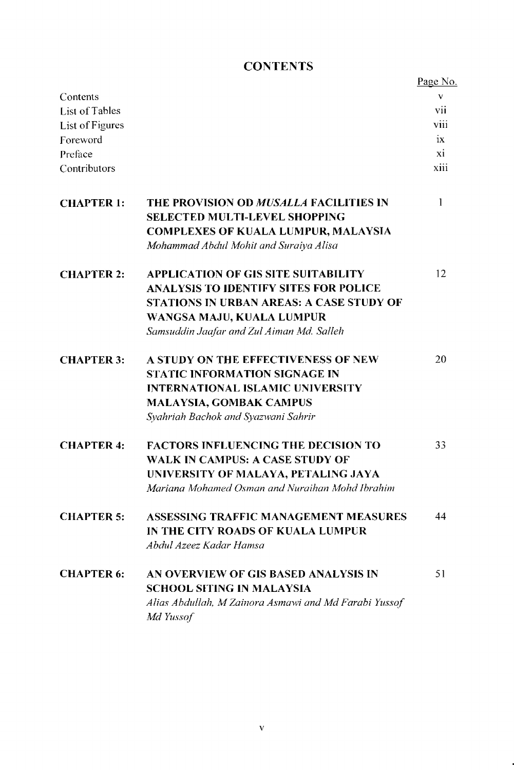### **CONTENTS**

|                   |                                                                                       | Page No. |
|-------------------|---------------------------------------------------------------------------------------|----------|
| Contents          |                                                                                       | V        |
| List of Tables    |                                                                                       | V11      |
| List of Figures   |                                                                                       | viii     |
| Foreword          |                                                                                       | ix       |
| Preface           |                                                                                       | xi       |
| Contributors      |                                                                                       | xiii     |
| <b>CHAPTER 1:</b> | <b>THE PROVISION OD MUSALLA FACILITIES IN</b><br><b>SELECTED MULTI-LEVEL SHOPPING</b> | 1        |
|                   | <b>COMPLEXES OF KUALA LUMPUR, MALAYSIA</b><br>Mohammad Abdul Mohit and Suraiya Alisa  |          |
| <b>CHAPTER 2:</b> | <b>APPLICATION OF GIS SITE SUITABILITY</b>                                            | 12       |
|                   | <b>ANALYSIS TO IDENTIFY SITES FOR POLICE</b>                                          |          |
|                   | <b>STATIONS IN URBAN AREAS: A CASE STUDY OF</b>                                       |          |
|                   | WANGSA MAJU, KUALA LUMPUR                                                             |          |
|                   | Samsuddin Jaafar and Zul Aiman Md. Salleh                                             |          |
| <b>CHAPTER 3:</b> | A STUDY ON THE EFFECTIVENESS OF NEW                                                   | 20       |
|                   | <b>STATIC INFORMATION SIGNAGE IN</b>                                                  |          |
|                   | <b>INTERNATIONAL ISLAMIC UNIVERSITY</b>                                               |          |
|                   | <b>MALAYSIA, GOMBAK CAMPUS</b>                                                        |          |
|                   | Syahriah Bachok and Syazwani Sahrir                                                   |          |
| <b>CHAPTER 4:</b> | <b>FACTORS INFLUENCING THE DECISION TO</b>                                            | 33       |
|                   | WALK IN CAMPUS: A CASE STUDY OF                                                       |          |
|                   | UNIVERSITY OF MALAYA, PETALING JAYA                                                   |          |
|                   | Mariana Mohamed Osman and Nuraihan Mohd Ibrahim                                       |          |
| <b>CHAPTER 5:</b> | ASSESSING TRAFFIC MANAGEMENT MEASURES                                                 | 44       |
|                   | IN THE CITY ROADS OF KUALA LUMPUR                                                     |          |
|                   | Abdul Azeez Kadar Hamsa                                                               |          |
| <b>CHAPTER 6:</b> | AN OVERVIEW OF GIS BASED ANALYSIS IN                                                  | 51       |
|                   | <b>SCHOOL SITING IN MALAYSIA</b>                                                      |          |
|                   | Alias Abdullah, M Zainora Asmawi and Md Farabi Yussof<br>Md Yussof                    |          |
|                   |                                                                                       |          |